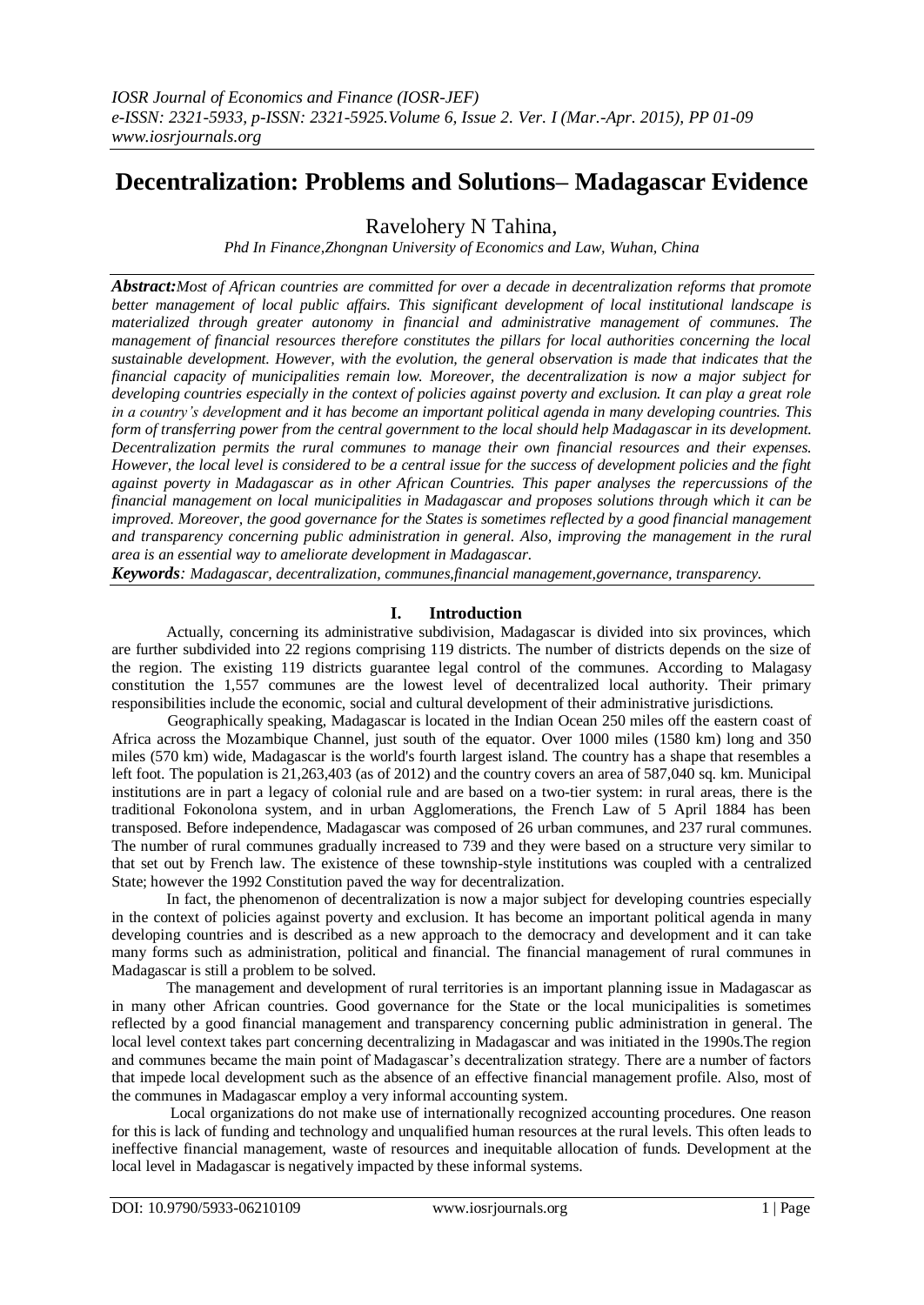# **Decentralization: Problems and Solutions– Madagascar Evidence**

Ravelohery N Tahina,

*Phd In Finance,Zhongnan University of Economics and Law, Wuhan, China*

*Abstract:Most of African countries are committed for over a decade in decentralization reforms that promote better management of local public affairs. This significant development of local institutional landscape is materialized through greater autonomy in financial and administrative management of communes. The management of financial resources therefore constitutes the pillars for local authorities concerning the local sustainable development. However, with the evolution, the general observation is made that indicates that the financial capacity of municipalities remain low. Moreover, the decentralization is now a major subject for developing countries especially in the context of policies against poverty and exclusion. It can play a great role in a country's development and it has become an important political agenda in many developing countries. This form of transferring power from the central government to the local should help Madagascar in its development. Decentralization permits the rural communes to manage their own financial resources and their expenses. However, the local level is considered to be a central issue for the success of development policies and the fight against poverty in Madagascar as in other African Countries. This paper analyses the repercussions of the financial management on local municipalities in Madagascar and proposes solutions through which it can be improved. Moreover, the good governance for the States is sometimes reflected by a good financial management and transparency concerning public administration in general. Also, improving the management in the rural area is an essential way to ameliorate development in Madagascar.*

*Keywords: Madagascar, decentralization, communes,financial management,governance, transparency.*

# **I. Introduction**

Actually, concerning its administrative subdivision, Madagascar is divided into six provinces, which are further subdivided into 22 regions comprising 119 districts. The number of districts depends on the size of the region. The existing 119 districts guarantee legal control of the communes. According to Malagasy constitution the 1,557 communes are the lowest level of decentralized local authority. Their primary responsibilities include the economic, social and cultural development of their administrative jurisdictions.

Geographically speaking, Madagascar is located in the Indian Ocean 250 miles off the eastern coast of Africa across the Mozambique Channel, just south of the equator. Over 1000 miles (1580 km) long and 350 miles (570 km) wide, Madagascar is the world's fourth largest island. The country has a shape that resembles a left foot. The population is 21,263,403 (as of 2012) and the country covers an area of 587,040 sq. km. Municipal institutions are in part a legacy of colonial rule and are based on a two-tier system: in rural areas, there is the traditional Fokonolona system, and in urban Agglomerations, the French Law of 5 April 1884 has been transposed. Before independence, Madagascar was composed of 26 urban communes, and 237 rural communes. The number of rural communes gradually increased to 739 and they were based on a structure very similar to that set out by French law. The existence of these township-style institutions was coupled with a centralized State; however the 1992 Constitution paved the way for decentralization.

In fact, the phenomenon of decentralization is now a major subject for developing countries especially in the context of policies against poverty and exclusion. It has become an important political agenda in many developing countries and is described as a new approach to the democracy and development and it can take many forms such as administration, political and financial. The financial management of rural communes in Madagascar is still a problem to be solved.

The management and development of rural territories is an important planning issue in Madagascar as in many other African countries. Good governance for the State or the local municipalities is sometimes reflected by a good financial management and transparency concerning public administration in general. The local level context takes part concerning decentralizing in Madagascar and was initiated in the 1990s.The region and communes became the main point of Madagascar's decentralization strategy. There are a number of factors that impede local development such as the absence of an effective financial management profile. Also, most of the communes in Madagascar employ a very informal accounting system.

Local organizations do not make use of internationally recognized accounting procedures. One reason for this is lack of funding and technology and unqualified human resources at the rural levels. This often leads to ineffective financial management, waste of resources and inequitable allocation of funds. Development at the local level in Madagascar is negatively impacted by these informal systems.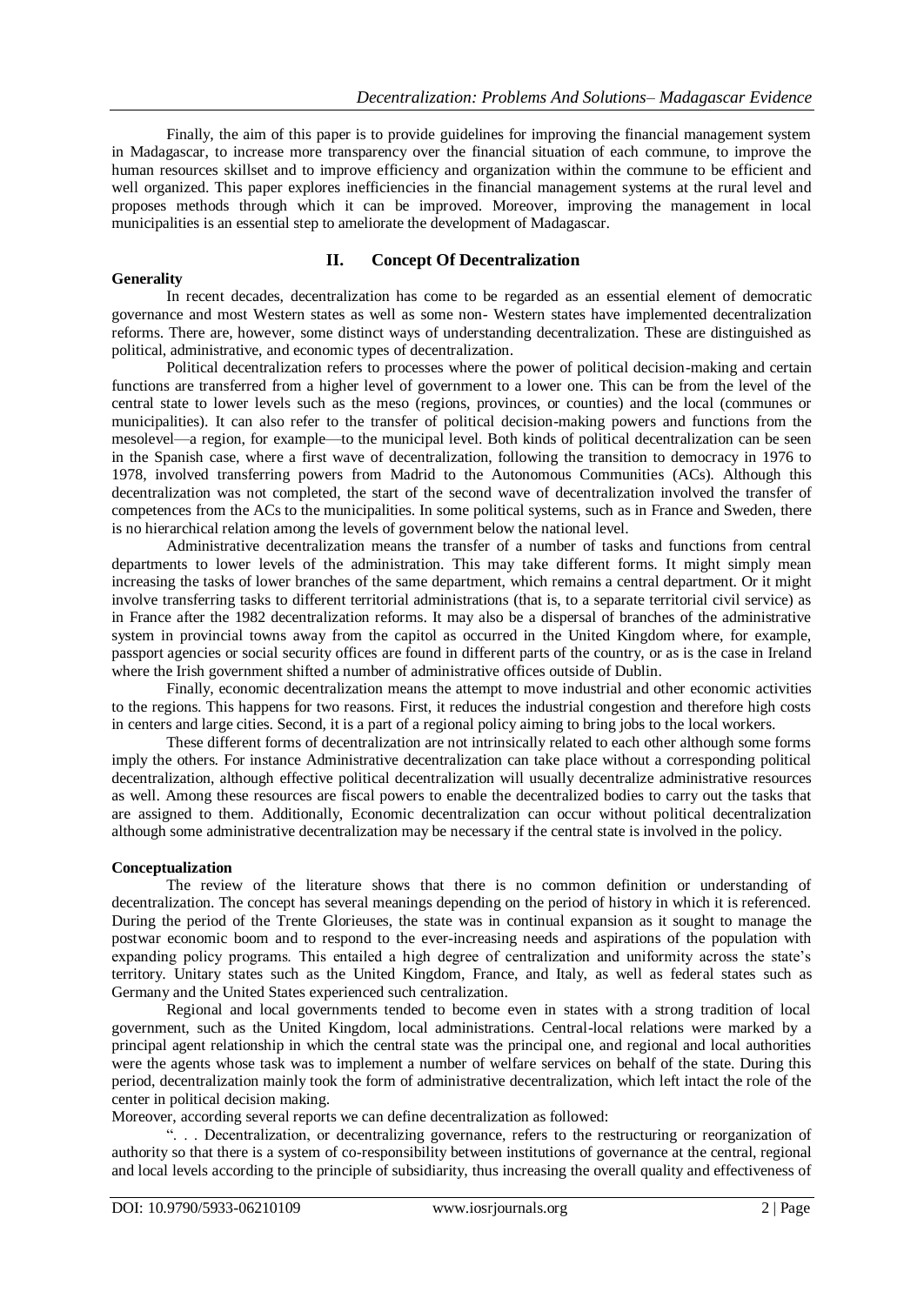Finally, the aim of this paper is to provide guidelines for improving the financial management system in Madagascar, to increase more transparency over the financial situation of each commune, to improve the human resources skillset and to improve efficiency and organization within the commune to be efficient and well organized. This paper explores inefficiencies in the financial management systems at the rural level and proposes methods through which it can be improved. Moreover, improving the management in local municipalities is an essential step to ameliorate the development of Madagascar.

#### **Generality**

## **II. Concept Of Decentralization**

In recent decades, decentralization has come to be regarded as an essential element of democratic governance and most Western states as well as some non- Western states have implemented decentralization reforms. There are, however, some distinct ways of understanding decentralization. These are distinguished as political, administrative, and economic types of decentralization.

Political decentralization refers to processes where the power of political decision-making and certain functions are transferred from a higher level of government to a lower one. This can be from the level of the central state to lower levels such as the meso (regions, provinces, or counties) and the local (communes or municipalities). It can also refer to the transfer of political decision-making powers and functions from the mesolevel—a region, for example—to the municipal level. Both kinds of political decentralization can be seen in the Spanish case, where a first wave of decentralization, following the transition to democracy in 1976 to 1978, involved transferring powers from Madrid to the Autonomous Communities (ACs). Although this decentralization was not completed, the start of the second wave of decentralization involved the transfer of competences from the ACs to the municipalities. In some political systems, such as in France and Sweden, there is no hierarchical relation among the levels of government below the national level.

Administrative decentralization means the transfer of a number of tasks and functions from central departments to lower levels of the administration. This may take different forms. It might simply mean increasing the tasks of lower branches of the same department, which remains a central department. Or it might involve transferring tasks to different territorial administrations (that is, to a separate territorial civil service) as in France after the 1982 decentralization reforms. It may also be a dispersal of branches of the administrative system in provincial towns away from the capitol as occurred in the United Kingdom where, for example, passport agencies or social security offices are found in different parts of the country, or as is the case in Ireland where the Irish government shifted a number of administrative offices outside of Dublin.

Finally, economic decentralization means the attempt to move industrial and other economic activities to the regions. This happens for two reasons. First, it reduces the industrial congestion and therefore high costs in centers and large cities. Second, it is a part of a regional policy aiming to bring jobs to the local workers.

These different forms of decentralization are not intrinsically related to each other although some forms imply the others. For instance Administrative decentralization can take place without a corresponding political decentralization, although effective political decentralization will usually decentralize administrative resources as well. Among these resources are fiscal powers to enable the decentralized bodies to carry out the tasks that are assigned to them. Additionally, Economic decentralization can occur without political decentralization although some administrative decentralization may be necessary if the central state is involved in the policy.

## **Conceptualization**

The review of the literature shows that there is no common definition or understanding of decentralization. The concept has several meanings depending on the period of history in which it is referenced. During the period of the Trente Glorieuses, the state was in continual expansion as it sought to manage the postwar economic boom and to respond to the ever-increasing needs and aspirations of the population with expanding policy programs. This entailed a high degree of centralization and uniformity across the state's territory. Unitary states such as the United Kingdom, France, and Italy, as well as federal states such as Germany and the United States experienced such centralization.

Regional and local governments tended to become even in states with a strong tradition of local government, such as the United Kingdom, local administrations. Central-local relations were marked by a principal agent relationship in which the central state was the principal one, and regional and local authorities were the agents whose task was to implement a number of welfare services on behalf of the state. During this period, decentralization mainly took the form of administrative decentralization, which left intact the role of the center in political decision making.

Moreover, according several reports we can define decentralization as followed:

―. . . Decentralization, or decentralizing governance, refers to the restructuring or reorganization of authority so that there is a system of co-responsibility between institutions of governance at the central, regional and local levels according to the principle of subsidiarity, thus increasing the overall quality and effectiveness of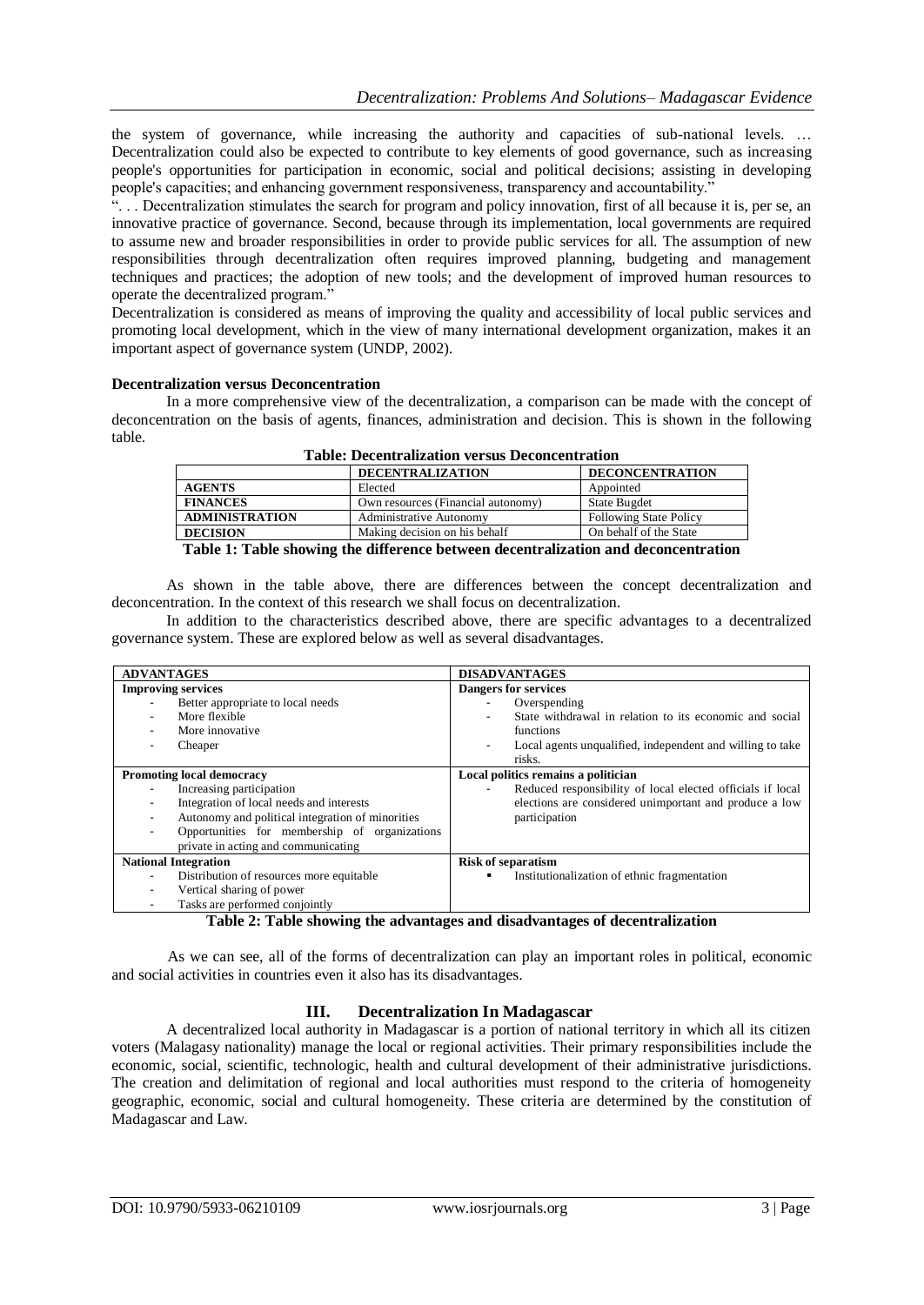the system of governance, while increasing the authority and capacities of sub-national levels. … Decentralization could also be expected to contribute to key elements of good governance, such as increasing people's opportunities for participation in economic, social and political decisions; assisting in developing people's capacities; and enhancing government responsiveness, transparency and accountability.

―. . . Decentralization stimulates the search for program and policy innovation, first of all because it is, per se, an innovative practice of governance. Second, because through its implementation, local governments are required to assume new and broader responsibilities in order to provide public services for all. The assumption of new responsibilities through decentralization often requires improved planning, budgeting and management techniques and practices; the adoption of new tools; and the development of improved human resources to operate the decentralized program."

Decentralization is considered as means of improving the quality and accessibility of local public services and promoting local development, which in the view of many international development organization, makes it an important aspect of governance system (UNDP, 2002).

## **Decentralization versus Deconcentration**

In a more comprehensive view of the decentralization, a comparison can be made with the concept of deconcentration on the basis of agents, finances, administration and decision. This is shown in the following table.

|                                                                                    | <b>DECENTRALIZATION</b>            | <b>DECONCENTRATION</b>        |  |
|------------------------------------------------------------------------------------|------------------------------------|-------------------------------|--|
| <b>AGENTS</b>                                                                      | Elected                            | Appointed                     |  |
| <b>FINANCES</b>                                                                    | Own resources (Financial autonomy) | <b>State Bugdet</b>           |  |
| <b>ADMINISTRATION</b>                                                              | <b>Administrative Autonomy</b>     | <b>Following State Policy</b> |  |
| <b>DECISION</b>                                                                    | Making decision on his behalf      | On behalf of the State        |  |
| Table 1: Table showing the difference between decentralization and deconcentration |                                    |                               |  |

**Table: Decentralization versus Deconcentration**

As shown in the table above, there are differences between the concept decentralization and deconcentration. In the context of this research we shall focus on decentralization.

In addition to the characteristics described above, there are specific advantages to a decentralized governance system. These are explored below as well as several disadvantages.

| <b>ADVANTAGES</b>                                                                                                                                                                                                                                                                                                              | <b>DISADVANTAGES</b>                                                                                                                                                                                         |
|--------------------------------------------------------------------------------------------------------------------------------------------------------------------------------------------------------------------------------------------------------------------------------------------------------------------------------|--------------------------------------------------------------------------------------------------------------------------------------------------------------------------------------------------------------|
| <b>Improving services</b><br>Better appropriate to local needs<br>More flexible<br>$\overline{\phantom{0}}$<br>More innovative<br>$\overline{\phantom{0}}$<br>Cheaper<br>$\blacksquare$                                                                                                                                        | <b>Dangers for services</b><br>Overspending<br>State withdrawal in relation to its economic and social<br>functions<br>Local agents unqualified, independent and willing to take<br>$\blacksquare$<br>risks. |
| <b>Promoting local democracy</b><br>Increasing participation<br>Integration of local needs and interests<br>$\overline{\phantom{0}}$<br>Autonomy and political integration of minorities<br>$\blacksquare$<br>Opportunities for membership of organizations<br>$\overline{\phantom{0}}$<br>private in acting and communicating | Local politics remains a politician<br>Reduced responsibility of local elected officials if local<br>elections are considered unimportant and produce a low<br>participation                                 |
| <b>National Integration</b><br>Distribution of resources more equitable<br>$\overline{\phantom{a}}$<br>Vertical sharing of power<br>$\overline{\phantom{0}}$<br>Tasks are performed conjointly<br>-                                                                                                                            | <b>Risk of separatism</b><br>Institutionalization of ethnic fragmentation<br>٠                                                                                                                               |

## **Table 2: Table showing the advantages and disadvantages of decentralization**

As we can see, all of the forms of decentralization can play an important roles in political, economic and social activities in countries even it also has its disadvantages.

# **III. Decentralization In Madagascar**

A decentralized local authority in Madagascar is a portion of national territory in which all its citizen voters (Malagasy nationality) manage the local or regional activities. Their primary responsibilities include the economic, social, scientific, technologic, health and cultural development of their administrative jurisdictions. The creation and delimitation of regional and local authorities must respond to the criteria of homogeneity geographic, economic, social and cultural homogeneity. These criteria are determined by the constitution of Madagascar and Law.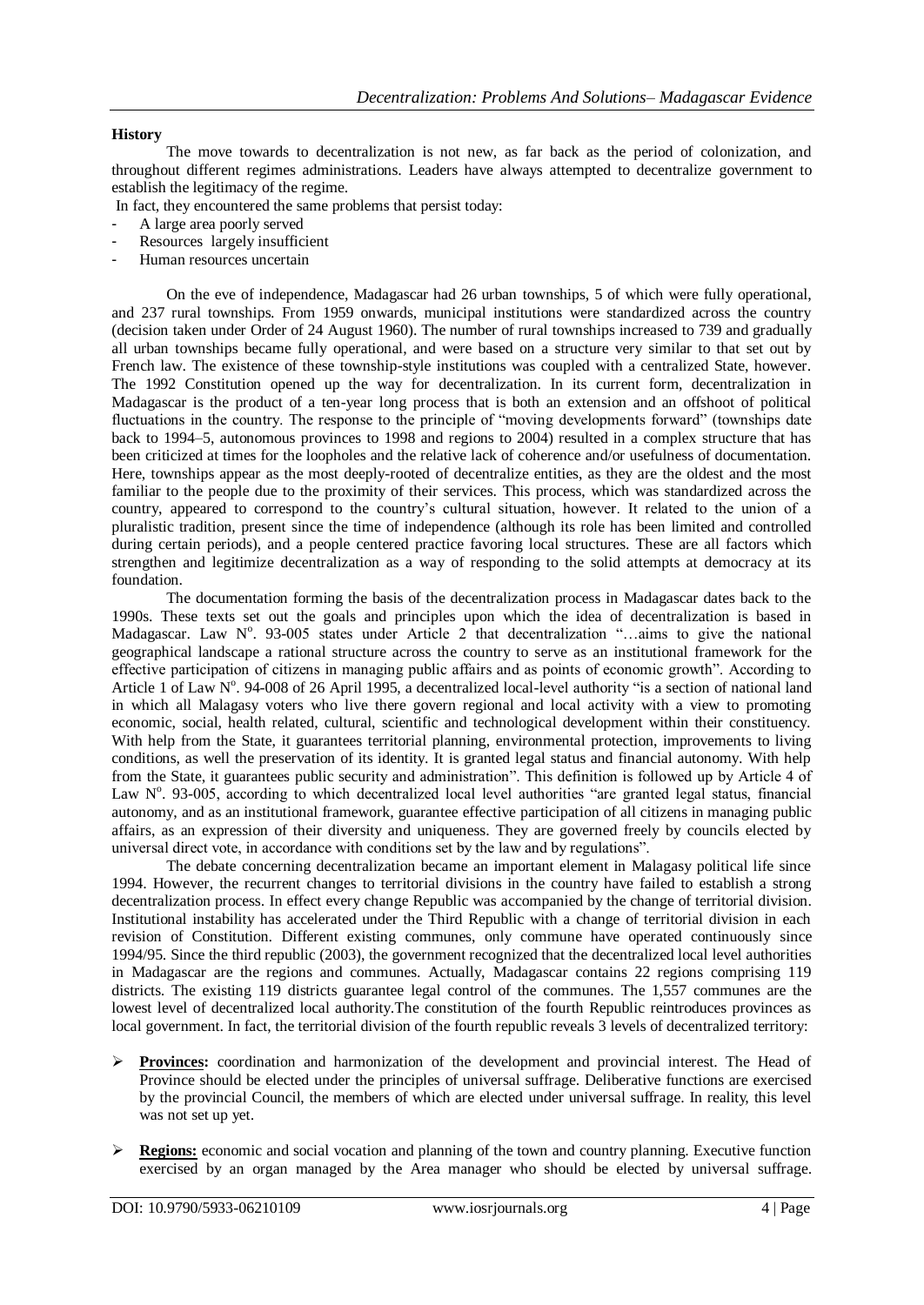## **History**

The move towards to decentralization is not new, as far back as the period of colonization, and throughout different regimes administrations. Leaders have always attempted to decentralize government to establish the legitimacy of the regime.

- In fact, they encountered the same problems that persist today:
- A large area poorly served
- Resources largely insufficient
- Human resources uncertain

On the eve of independence, Madagascar had 26 urban townships, 5 of which were fully operational, and 237 rural townships. From 1959 onwards, municipal institutions were standardized across the country (decision taken under Order of 24 August 1960). The number of rural townships increased to 739 and gradually all urban townships became fully operational, and were based on a structure very similar to that set out by French law. The existence of these township-style institutions was coupled with a centralized State, however. The 1992 Constitution opened up the way for decentralization. In its current form, decentralization in Madagascar is the product of a ten-year long process that is both an extension and an offshoot of political fluctuations in the country. The response to the principle of "moving developments forward" (townships date back to 1994–5, autonomous provinces to 1998 and regions to 2004) resulted in a complex structure that has been criticized at times for the loopholes and the relative lack of coherence and/or usefulness of documentation. Here, townships appear as the most deeply-rooted of decentralize entities, as they are the oldest and the most familiar to the people due to the proximity of their services. This process, which was standardized across the country, appeared to correspond to the country's cultural situation, however. It related to the union of a pluralistic tradition, present since the time of independence (although its role has been limited and controlled during certain periods), and a people centered practice favoring local structures. These are all factors which strengthen and legitimize decentralization as a way of responding to the solid attempts at democracy at its foundation.

The documentation forming the basis of the decentralization process in Madagascar dates back to the 1990s. These texts set out the goals and principles upon which the idea of decentralization is based in Madagascar. Law N°. 93-005 states under Article 2 that decentralization "...aims to give the national geographical landscape a rational structure across the country to serve as an institutional framework for the effective participation of citizens in managing public affairs and as points of economic growth‖. According to Article 1 of Law N°. 94-008 of 26 April 1995, a decentralized local-level authority "is a section of national land in which all Malagasy voters who live there govern regional and local activity with a view to promoting economic, social, health related, cultural, scientific and technological development within their constituency. With help from the State, it guarantees territorial planning, environmental protection, improvements to living conditions, as well the preservation of its identity. It is granted legal status and financial autonomy. With help from the State, it guarantees public security and administration". This definition is followed up by Article 4 of Law N°. 93-005, according to which decentralized local level authorities "are granted legal status, financial autonomy, and as an institutional framework, guarantee effective participation of all citizens in managing public affairs, as an expression of their diversity and uniqueness. They are governed freely by councils elected by universal direct vote, in accordance with conditions set by the law and by regulations".

The debate concerning decentralization became an important element in Malagasy political life since 1994. However, the recurrent changes to territorial divisions in the country have failed to establish a strong decentralization process. In effect every change Republic was accompanied by the change of territorial division. Institutional instability has accelerated under the Third Republic with a change of territorial division in each revision of Constitution. Different existing communes, only commune have operated continuously since 1994/95. Since the third republic (2003), the government recognized that the decentralized local level authorities in Madagascar are the regions and communes. Actually, Madagascar contains 22 regions comprising 119 districts. The existing 119 districts guarantee legal control of the communes. The 1,557 communes are the lowest level of decentralized local authority.The constitution of the fourth Republic reintroduces provinces as local government. In fact, the territorial division of the fourth republic reveals 3 levels of decentralized territory:

- **Provinces:** coordination and harmonization of the development and provincial interest. The Head of Province should be elected under the principles of universal suffrage. Deliberative functions are exercised by the provincial Council, the members of which are elected under universal suffrage. In reality, this level was not set up yet.
- **Regions:** economic and social vocation and planning of the town and country planning. Executive function exercised by an organ managed by the Area manager who should be elected by universal suffrage.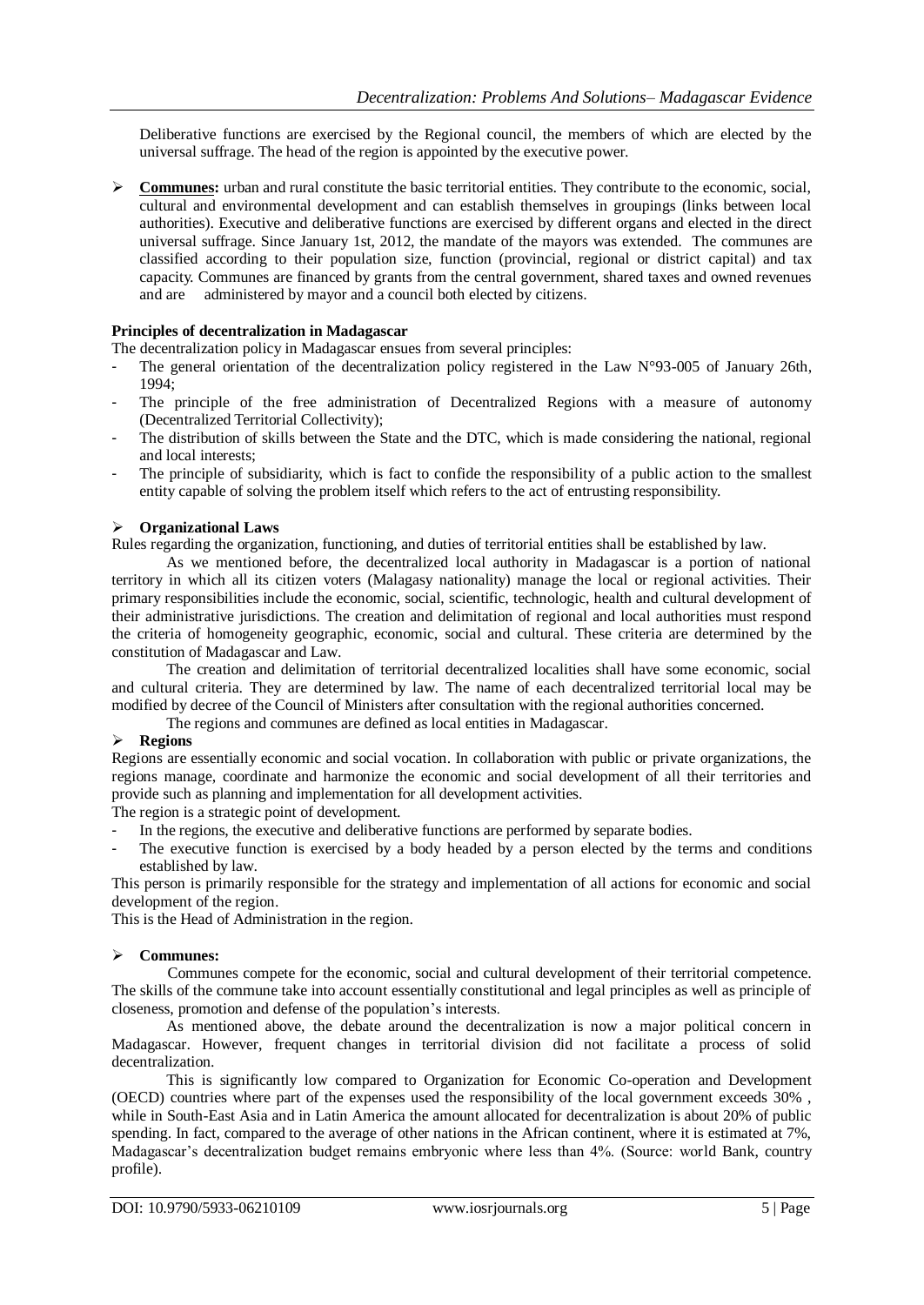Deliberative functions are exercised by the Regional council, the members of which are elected by the universal suffrage. The head of the region is appointed by the executive power.

 **Communes:** urban and rural constitute the basic territorial entities. They contribute to the economic, social, cultural and environmental development and can establish themselves in groupings (links between local authorities). Executive and deliberative functions are exercised by different organs and elected in the direct universal suffrage. Since January 1st, 2012, the mandate of the mayors was extended. The communes are classified according to their population size, function (provincial, regional or district capital) and tax capacity. Communes are financed by grants from the central government, shared taxes and owned revenues and are administered by mayor and a council both elected by citizens.

## **Principles of decentralization in Madagascar**

The decentralization policy in Madagascar ensues from several principles:

- The general orientation of the decentralization policy registered in the Law  $N^{\circ}93$ -005 of January 26th, 1994;
- The principle of the free administration of Decentralized Regions with a measure of autonomy (Decentralized Territorial Collectivity);
- The distribution of skills between the State and the DTC, which is made considering the national, regional and local interests;
- The principle of subsidiarity, which is fact to confide the responsibility of a public action to the smallest entity capable of solving the problem itself which refers to the act of entrusting responsibility.

## **Organizational Laws**

Rules regarding the organization, functioning, and duties of territorial entities shall be established by law.

As we mentioned before, the decentralized local authority in Madagascar is a portion of national territory in which all its citizen voters (Malagasy nationality) manage the local or regional activities. Their primary responsibilities include the economic, social, scientific, technologic, health and cultural development of their administrative jurisdictions. The creation and delimitation of regional and local authorities must respond the criteria of homogeneity geographic, economic, social and cultural. These criteria are determined by the constitution of Madagascar and Law.

The creation and delimitation of territorial decentralized localities shall have some economic, social and cultural criteria. They are determined by law. The name of each decentralized territorial local may be modified by decree of the Council of Ministers after consultation with the regional authorities concerned.

The regions and communes are defined as local entities in Madagascar.

## **Regions**

Regions are essentially economic and social vocation. In collaboration with public or private organizations, the regions manage, coordinate and harmonize the economic and social development of all their territories and provide such as planning and implementation for all development activities.

The region is a strategic point of development.

- In the regions, the executive and deliberative functions are performed by separate bodies.
- The executive function is exercised by a body headed by a person elected by the terms and conditions established by law.

This person is primarily responsible for the strategy and implementation of all actions for economic and social development of the region.

This is the Head of Administration in the region.

## **Communes:**

Communes compete for the economic, social and cultural development of their territorial competence. The skills of the commune take into account essentially constitutional and legal principles as well as principle of closeness, promotion and defense of the population's interests.

As mentioned above, the debate around the decentralization is now a major political concern in Madagascar. However, frequent changes in territorial division did not facilitate a process of solid decentralization.

This is significantly low compared to Organization for Economic Co-operation and Development (OECD) countries where part of the expenses used the responsibility of the local government exceeds 30% , while in South-East Asia and in Latin America the amount allocated for decentralization is about 20% of public spending. In fact, compared to the average of other nations in the African continent, where it is estimated at 7%, Madagascar's decentralization budget remains embryonic where less than 4%. (Source: world Bank, country profile).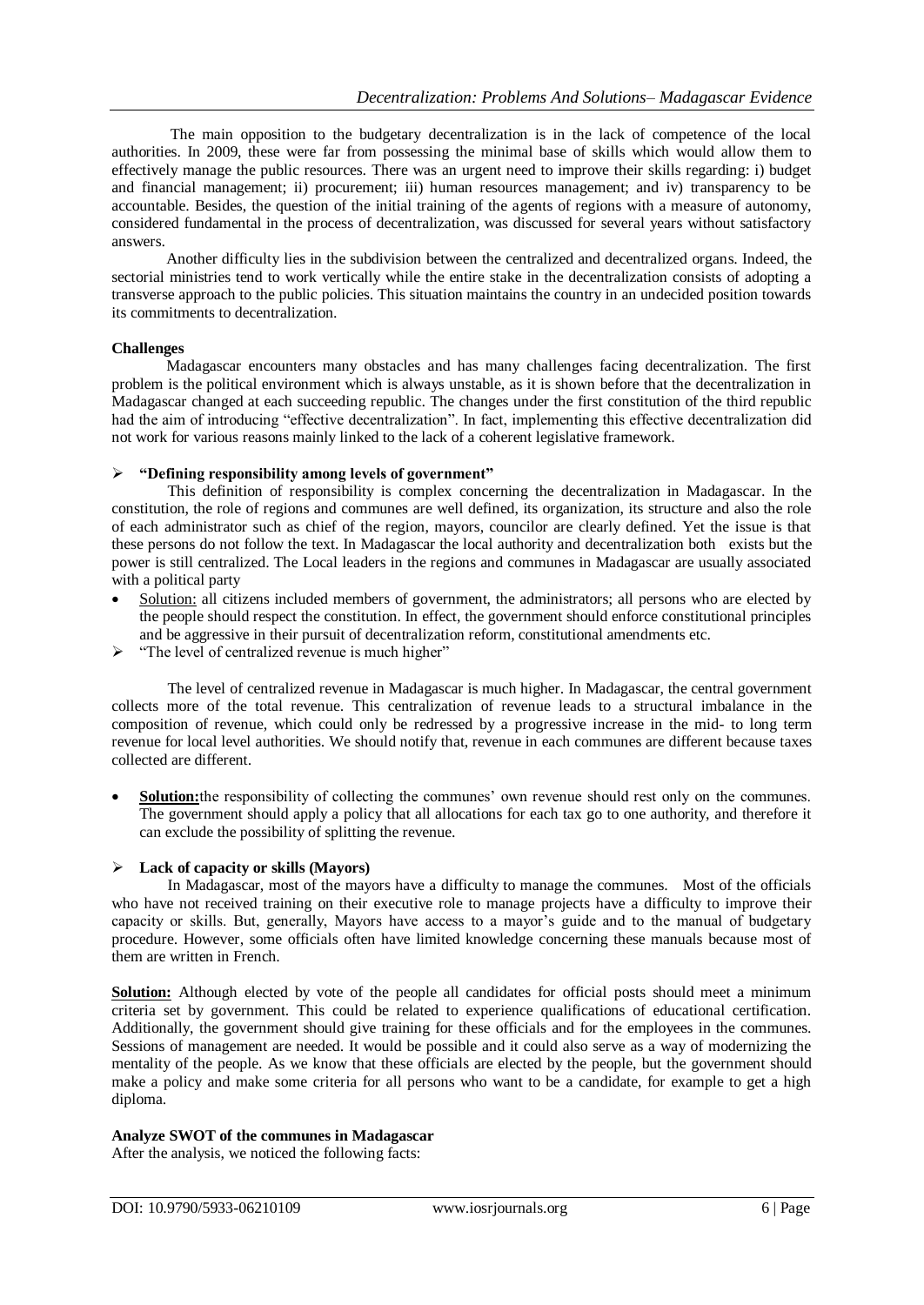The main opposition to the budgetary decentralization is in the lack of competence of the local authorities. In 2009, these were far from possessing the minimal base of skills which would allow them to effectively manage the public resources. There was an urgent need to improve their skills regarding: i) budget and financial management; ii) procurement; iii) human resources management; and iv) transparency to be accountable. Besides, the question of the initial training of the agents of regions with a measure of autonomy, considered fundamental in the process of decentralization, was discussed for several years without satisfactory answers.

Another difficulty lies in the subdivision between the centralized and decentralized organs. Indeed, the sectorial ministries tend to work vertically while the entire stake in the decentralization consists of adopting a transverse approach to the public policies. This situation maintains the country in an undecided position towards its commitments to decentralization.

## **Challenges**

Madagascar encounters many obstacles and has many challenges facing decentralization. The first problem is the political environment which is always unstable, as it is shown before that the decentralization in Madagascar changed at each succeeding republic. The changes under the first constitution of the third republic had the aim of introducing "effective decentralization". In fact, implementing this effective decentralization did not work for various reasons mainly linked to the lack of a coherent legislative framework.

## **"Defining responsibility among levels of government"**

This definition of responsibility is complex concerning the decentralization in Madagascar. In the constitution, the role of regions and communes are well defined, its organization, its structure and also the role of each administrator such as chief of the region, mayors, councilor are clearly defined. Yet the issue is that these persons do not follow the text. In Madagascar the local authority and decentralization both exists but the power is still centralized. The Local leaders in the regions and communes in Madagascar are usually associated with a political party

- Solution: all citizens included members of government, the administrators; all persons who are elected by the people should respect the constitution. In effect, the government should enforce constitutional principles and be aggressive in their pursuit of decentralization reform, constitutional amendments etc.
- $\triangleright$  "The level of centralized revenue is much higher"

The level of centralized revenue in Madagascar is much higher. In Madagascar, the central government collects more of the total revenue. This centralization of revenue leads to a structural imbalance in the composition of revenue, which could only be redressed by a progressive increase in the mid- to long term revenue for local level authorities. We should notify that, revenue in each communes are different because taxes collected are different.

 **Solution:**the responsibility of collecting the communes' own revenue should rest only on the communes. The government should apply a policy that all allocations for each tax go to one authority, and therefore it can exclude the possibility of splitting the revenue.

## **Lack of capacity or skills (Mayors)**

In Madagascar, most of the mayors have a difficulty to manage the communes. Most of the officials who have not received training on their executive role to manage projects have a difficulty to improve their capacity or skills. But, generally, Mayors have access to a mayor's guide and to the manual of budgetary procedure. However, some officials often have limited knowledge concerning these manuals because most of them are written in French.

**Solution:** Although elected by vote of the people all candidates for official posts should meet a minimum criteria set by government. This could be related to experience qualifications of educational certification. Additionally, the government should give training for these officials and for the employees in the communes. Sessions of management are needed. It would be possible and it could also serve as a way of modernizing the mentality of the people. As we know that these officials are elected by the people, but the government should make a policy and make some criteria for all persons who want to be a candidate, for example to get a high diploma.

## **Analyze SWOT of the communes in Madagascar**

After the analysis, we noticed the following facts: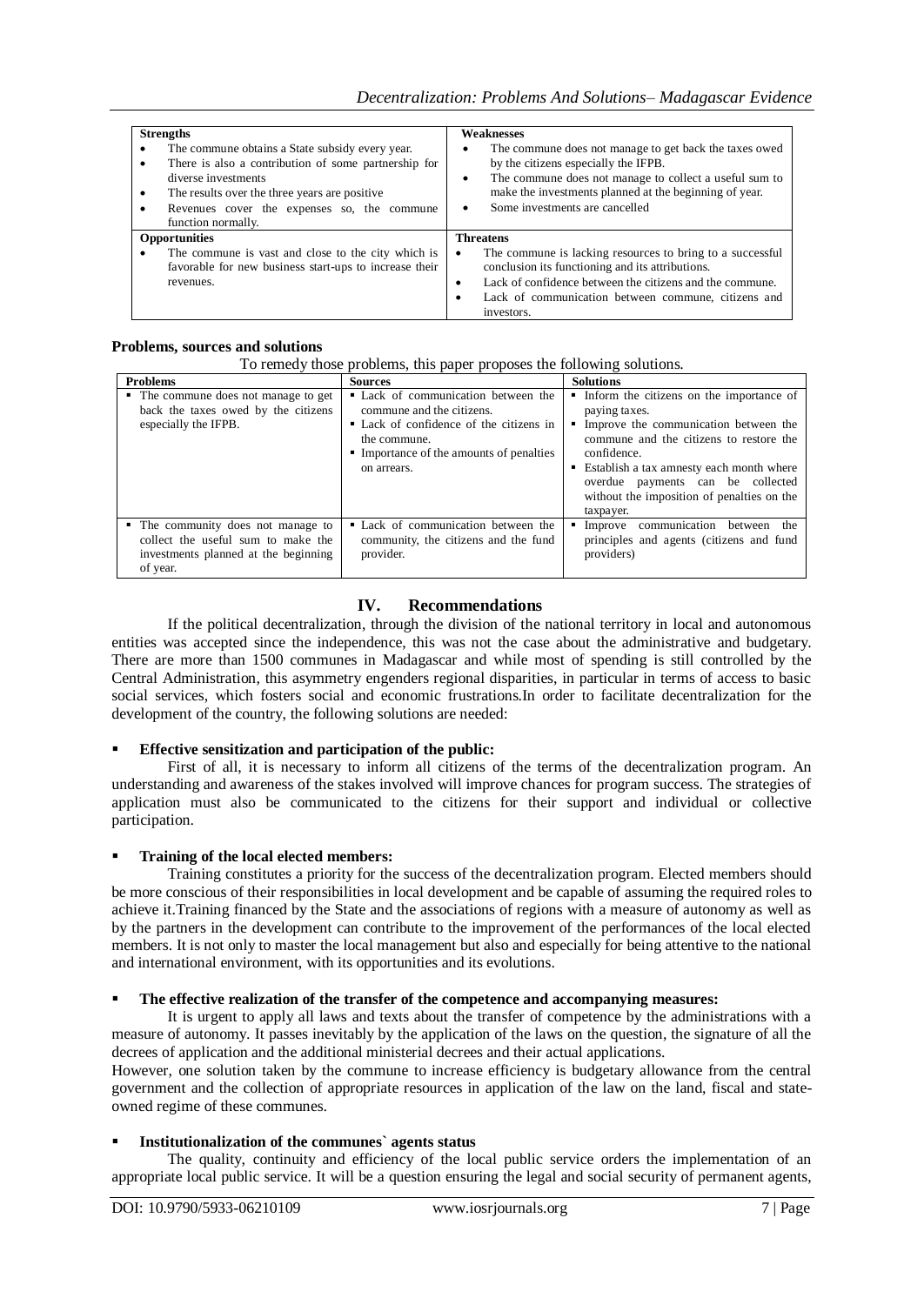| <b>Strengths</b><br>The commune obtains a State subsidy every year.<br>There is also a contribution of some partnership for<br>diverse investments<br>The results over the three years are positive.<br>$\bullet$<br>Revenues cover the expenses so, the commune<br>function normally. | <b>Weaknesses</b><br>The commune does not manage to get back the taxes owed<br>٠<br>by the citizens especially the IFPB.<br>The commune does not manage to collect a useful sum to<br>٠<br>make the investments planned at the beginning of year.<br>Some investments are cancelled<br>٠ |
|----------------------------------------------------------------------------------------------------------------------------------------------------------------------------------------------------------------------------------------------------------------------------------------|------------------------------------------------------------------------------------------------------------------------------------------------------------------------------------------------------------------------------------------------------------------------------------------|
| <b>Opportunities</b><br>The commune is vast and close to the city which is<br>favorable for new business start-ups to increase their<br>revenues.                                                                                                                                      | <b>Threatens</b><br>The commune is lacking resources to bring to a successful<br>conclusion its functioning and its attributions.<br>Lack of confidence between the citizens and the commune.<br>٠<br>Lack of communication between commune, citizens and<br>investors.                  |

## **Problems, sources and solutions**

| To remedy those problems, this paper proposes the following solutions. |  |  |  |  |  |
|------------------------------------------------------------------------|--|--|--|--|--|
|------------------------------------------------------------------------|--|--|--|--|--|

| <b>Problems</b>                                                                                                              | <b>Sources</b>                                                                                                                                                                         | <b>Solutions</b>                                                                                                                                                                                                                                                                                             |
|------------------------------------------------------------------------------------------------------------------------------|----------------------------------------------------------------------------------------------------------------------------------------------------------------------------------------|--------------------------------------------------------------------------------------------------------------------------------------------------------------------------------------------------------------------------------------------------------------------------------------------------------------|
| • The commune does not manage to get<br>back the taxes owed by the citizens<br>especially the IFPB.                          | • Lack of communication between the<br>commune and the citizens.<br>• Lack of confidence of the citizens in<br>the commune.<br>• Importance of the amounts of penalties<br>on arrears. | • Inform the citizens on the importance of<br>paying taxes.<br>Improve the communication between the<br>commune and the citizens to restore the<br>confidence.<br>■ Establish a tax amnesty each month where<br>overdue payments can be collected<br>without the imposition of penalties on the<br>taxpayer. |
| • The community does not manage to<br>collect the useful sum to make the<br>investments planned at the beginning<br>of year. | • Lack of communication between the<br>community, the citizens and the fund<br>provider.                                                                                               | Improve communication between the<br>٠<br>principles and agents (citizens and fund<br>providers)                                                                                                                                                                                                             |

## **IV. Recommendations**

If the political decentralization, through the division of the national territory in local and autonomous entities was accepted since the independence, this was not the case about the administrative and budgetary. There are more than 1500 communes in Madagascar and while most of spending is still controlled by the Central Administration, this asymmetry engenders regional disparities, in particular in terms of access to basic social services, which fosters social and economic frustrations.In order to facilitate decentralization for the development of the country, the following solutions are needed:

## **Effective sensitization and participation of the public:**

First of all, it is necessary to inform all citizens of the terms of the decentralization program. An understanding and awareness of the stakes involved will improve chances for program success. The strategies of application must also be communicated to the citizens for their support and individual or collective participation.

## **Training of the local elected members:**

Training constitutes a priority for the success of the decentralization program. Elected members should be more conscious of their responsibilities in local development and be capable of assuming the required roles to achieve it.Training financed by the State and the associations of regions with a measure of autonomy as well as by the partners in the development can contribute to the improvement of the performances of the local elected members. It is not only to master the local management but also and especially for being attentive to the national and international environment, with its opportunities and its evolutions.

## **The effective realization of the transfer of the competence and accompanying measures:**

It is urgent to apply all laws and texts about the transfer of competence by the administrations with a measure of autonomy. It passes inevitably by the application of the laws on the question, the signature of all the decrees of application and the additional ministerial decrees and their actual applications.

However, one solution taken by the commune to increase efficiency is budgetary allowance from the central government and the collection of appropriate resources in application of the law on the land, fiscal and stateowned regime of these communes.

## **Institutionalization of the communes` agents status**

The quality, continuity and efficiency of the local public service orders the implementation of an appropriate local public service. It will be a question ensuring the legal and social security of permanent agents,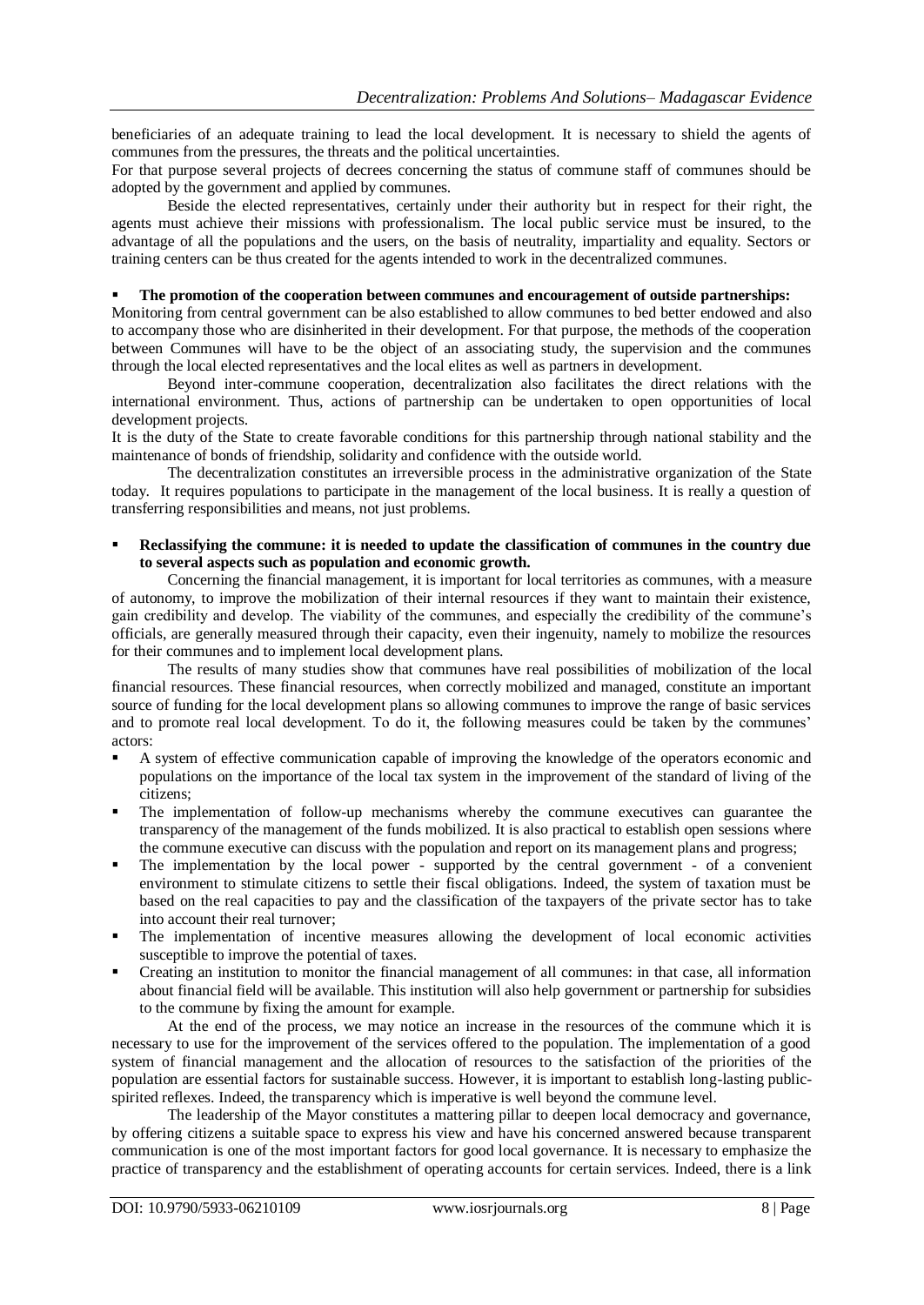beneficiaries of an adequate training to lead the local development. It is necessary to shield the agents of communes from the pressures, the threats and the political uncertainties.

For that purpose several projects of decrees concerning the status of commune staff of communes should be adopted by the government and applied by communes.

Beside the elected representatives, certainly under their authority but in respect for their right, the agents must achieve their missions with professionalism. The local public service must be insured, to the advantage of all the populations and the users, on the basis of neutrality, impartiality and equality. Sectors or training centers can be thus created for the agents intended to work in the decentralized communes.

## **The promotion of the cooperation between communes and encouragement of outside partnerships:**

Monitoring from central government can be also established to allow communes to bed better endowed and also to accompany those who are disinherited in their development. For that purpose, the methods of the cooperation between Communes will have to be the object of an associating study, the supervision and the communes through the local elected representatives and the local elites as well as partners in development.

Beyond inter-commune cooperation, decentralization also facilitates the direct relations with the international environment. Thus, actions of partnership can be undertaken to open opportunities of local development projects.

It is the duty of the State to create favorable conditions for this partnership through national stability and the maintenance of bonds of friendship, solidarity and confidence with the outside world.

The decentralization constitutes an irreversible process in the administrative organization of the State today. It requires populations to participate in the management of the local business. It is really a question of transferring responsibilities and means, not just problems.

 **Reclassifying the commune: it is needed to update the classification of communes in the country due to several aspects such as population and economic growth.** 

Concerning the financial management, it is important for local territories as communes, with a measure of autonomy, to improve the mobilization of their internal resources if they want to maintain their existence, gain credibility and develop. The viability of the communes, and especially the credibility of the commune's officials, are generally measured through their capacity, even their ingenuity, namely to mobilize the resources for their communes and to implement local development plans.

The results of many studies show that communes have real possibilities of mobilization of the local financial resources. These financial resources, when correctly mobilized and managed, constitute an important source of funding for the local development plans so allowing communes to improve the range of basic services and to promote real local development. To do it, the following measures could be taken by the communes' actors:

- A system of effective communication capable of improving the knowledge of the operators economic and populations on the importance of the local tax system in the improvement of the standard of living of the citizens;
- The implementation of follow-up mechanisms whereby the commune executives can guarantee the transparency of the management of the funds mobilized. It is also practical to establish open sessions where the commune executive can discuss with the population and report on its management plans and progress;
- The implementation by the local power supported by the central government of a convenient environment to stimulate citizens to settle their fiscal obligations. Indeed, the system of taxation must be based on the real capacities to pay and the classification of the taxpayers of the private sector has to take into account their real turnover;
- The implementation of incentive measures allowing the development of local economic activities susceptible to improve the potential of taxes.
- Creating an institution to monitor the financial management of all communes: in that case, all information about financial field will be available. This institution will also help government or partnership for subsidies to the commune by fixing the amount for example.

At the end of the process, we may notice an increase in the resources of the commune which it is necessary to use for the improvement of the services offered to the population. The implementation of a good system of financial management and the allocation of resources to the satisfaction of the priorities of the population are essential factors for sustainable success. However, it is important to establish long-lasting publicspirited reflexes. Indeed, the transparency which is imperative is well beyond the commune level.

The leadership of the Mayor constitutes a mattering pillar to deepen local democracy and governance, by offering citizens a suitable space to express his view and have his concerned answered because transparent communication is one of the most important factors for good local governance. It is necessary to emphasize the practice of transparency and the establishment of operating accounts for certain services. Indeed, there is a link